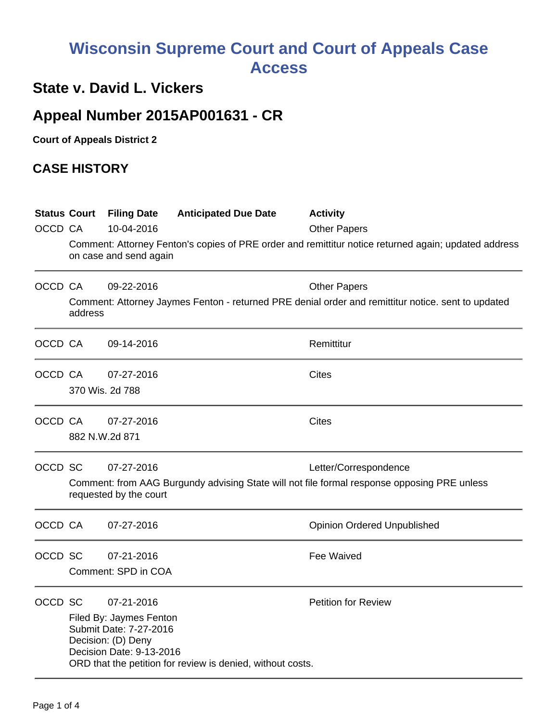# **Wisconsin Supreme Court and Court of Appeals Case Access**

### **State v. David L. Vickers**

## **Appeal Number 2015AP001631 - CR**

**Court of Appeals District 2**

#### **CASE HISTORY**

| OCCD CA | <b>Status Court</b>                                                                                                                                          | <b>Filing Date</b><br>10-04-2016<br>on case and send again                                                        | <b>Anticipated Due Date</b>                                | <b>Activity</b><br><b>Other Papers</b><br>Comment: Attorney Fenton's copies of PRE order and remittitur notice returned again; updated address |  |
|---------|--------------------------------------------------------------------------------------------------------------------------------------------------------------|-------------------------------------------------------------------------------------------------------------------|------------------------------------------------------------|------------------------------------------------------------------------------------------------------------------------------------------------|--|
| OCCD CA | 09-22-2016<br><b>Other Papers</b><br>Comment: Attorney Jaymes Fenton - returned PRE denial order and remittitur notice. sent to updated<br>address           |                                                                                                                   |                                                            |                                                                                                                                                |  |
| OCCD CA |                                                                                                                                                              | 09-14-2016                                                                                                        |                                                            | Remittitur                                                                                                                                     |  |
| OCCD CA |                                                                                                                                                              | 07-27-2016<br>370 Wis. 2d 788                                                                                     |                                                            | <b>Cites</b>                                                                                                                                   |  |
|         | OCCD CA<br>882 N.W.2d 871                                                                                                                                    | 07-27-2016                                                                                                        |                                                            | <b>Cites</b>                                                                                                                                   |  |
| OCCD SC | 07-27-2016<br>Letter/Correspondence<br>Comment: from AAG Burgundy advising State will not file formal response opposing PRE unless<br>requested by the court |                                                                                                                   |                                                            |                                                                                                                                                |  |
| OCCD CA |                                                                                                                                                              | 07-27-2016                                                                                                        |                                                            | <b>Opinion Ordered Unpublished</b>                                                                                                             |  |
| OCCD SC |                                                                                                                                                              | 07-21-2016<br>Comment: SPD in COA                                                                                 |                                                            | Fee Waived                                                                                                                                     |  |
| OCCD SC |                                                                                                                                                              | 07-21-2016<br>Filed By: Jaymes Fenton<br>Submit Date: 7-27-2016<br>Decision: (D) Deny<br>Decision Date: 9-13-2016 | ORD that the petition for review is denied, without costs. | <b>Petition for Review</b>                                                                                                                     |  |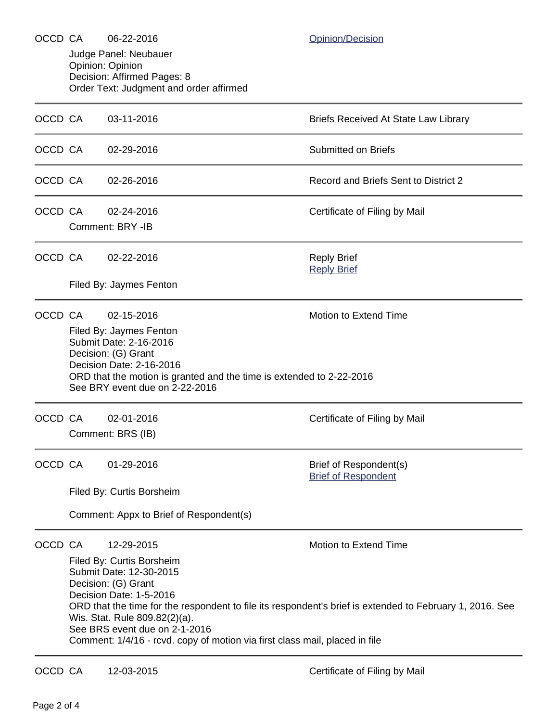| OCCD CA |                                                                                                                                           | 06-22-2016                                                                                                                         | Opinion/Decision                                     |  |  |  |  |  |
|---------|-------------------------------------------------------------------------------------------------------------------------------------------|------------------------------------------------------------------------------------------------------------------------------------|------------------------------------------------------|--|--|--|--|--|
|         |                                                                                                                                           | Judge Panel: Neubauer<br>Opinion: Opinion<br>Decision: Affirmed Pages: 8                                                           |                                                      |  |  |  |  |  |
|         |                                                                                                                                           | Order Text: Judgment and order affirmed                                                                                            |                                                      |  |  |  |  |  |
| OCCD CA |                                                                                                                                           | 03-11-2016                                                                                                                         | <b>Briefs Received At State Law Library</b>          |  |  |  |  |  |
| OCCD CA |                                                                                                                                           | 02-29-2016                                                                                                                         | <b>Submitted on Briefs</b>                           |  |  |  |  |  |
| OCCD CA |                                                                                                                                           | 02-26-2016                                                                                                                         | Record and Briefs Sent to District 2                 |  |  |  |  |  |
| OCCD CA |                                                                                                                                           | 02-24-2016                                                                                                                         | Certificate of Filing by Mail                        |  |  |  |  |  |
|         |                                                                                                                                           | Comment: BRY -IB                                                                                                                   |                                                      |  |  |  |  |  |
| OCCD CA |                                                                                                                                           | 02-22-2016                                                                                                                         | <b>Reply Brief</b><br><b>Reply Brief</b>             |  |  |  |  |  |
|         |                                                                                                                                           | Filed By: Jaymes Fenton                                                                                                            |                                                      |  |  |  |  |  |
| OCCD CA |                                                                                                                                           | 02-15-2016                                                                                                                         | <b>Motion to Extend Time</b>                         |  |  |  |  |  |
|         |                                                                                                                                           | Filed By: Jaymes Fenton<br>Submit Date: 2-16-2016                                                                                  |                                                      |  |  |  |  |  |
|         |                                                                                                                                           | Decision: (G) Grant                                                                                                                |                                                      |  |  |  |  |  |
|         |                                                                                                                                           | Decision Date: 2-16-2016<br>ORD that the motion is granted and the time is extended to 2-22-2016<br>See BRY event due on 2-22-2016 |                                                      |  |  |  |  |  |
| OCCD CA |                                                                                                                                           | 02-01-2016                                                                                                                         | Certificate of Filing by Mail                        |  |  |  |  |  |
|         |                                                                                                                                           | Comment: BRS (IB)                                                                                                                  |                                                      |  |  |  |  |  |
| OCCD CA |                                                                                                                                           | 01-29-2016                                                                                                                         | Brief of Respondent(s)<br><b>Brief of Respondent</b> |  |  |  |  |  |
|         | Filed By: Curtis Borsheim                                                                                                                 |                                                                                                                                    |                                                      |  |  |  |  |  |
|         | Comment: Appx to Brief of Respondent(s)                                                                                                   |                                                                                                                                    |                                                      |  |  |  |  |  |
| OCCD CA |                                                                                                                                           | 12-29-2015                                                                                                                         | Motion to Extend Time                                |  |  |  |  |  |
|         | Filed By: Curtis Borsheim<br>Submit Date: 12-30-2015                                                                                      |                                                                                                                                    |                                                      |  |  |  |  |  |
|         |                                                                                                                                           | Decision: (G) Grant                                                                                                                |                                                      |  |  |  |  |  |
|         | Decision Date: 1-5-2016                                                                                                                   |                                                                                                                                    |                                                      |  |  |  |  |  |
|         | ORD that the time for the respondent to file its respondent's brief is extended to February 1, 2016. See<br>Wis. Stat. Rule 809.82(2)(a). |                                                                                                                                    |                                                      |  |  |  |  |  |
|         | See BRS event due on 2-1-2016<br>Comment: 1/4/16 - rcvd. copy of motion via first class mail, placed in file                              |                                                                                                                                    |                                                      |  |  |  |  |  |
| OCCD CA |                                                                                                                                           | 12-03-2015                                                                                                                         | Certificate of Filing by Mail                        |  |  |  |  |  |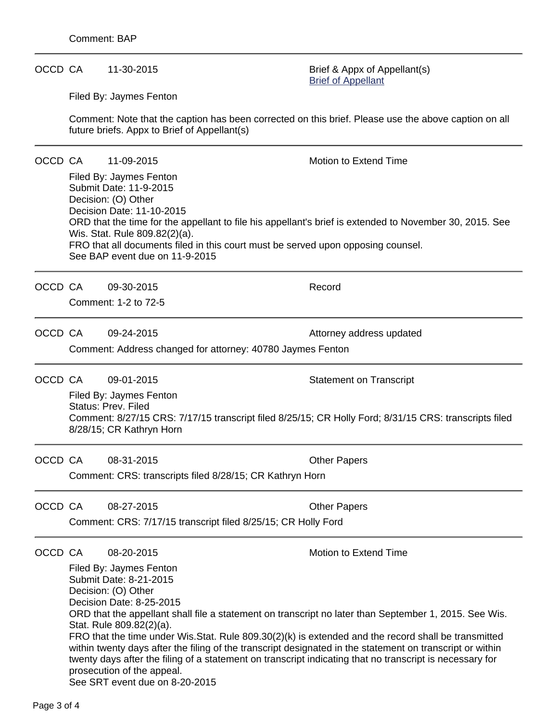#### OCCD CA 11-30-2015 Brief & Appx of Appellant(s)

[Brief of Appellant](https://acefiling.wicourts.gov/document/eFiled/2015AP001631/156601)

Filed By: Jaymes Fenton

Comment: Note that the caption has been corrected on this brief. Please use the above caption on all future briefs. Appx to Brief of Appellant(s)

OCCD CA 11-09-2015 Motion to Extend Time

Filed By: Jaymes Fenton Submit Date: 11-9-2015 Decision: (O) Other Decision Date: 11-10-2015 ORD that the time for the appellant to file his appellant's brief is extended to November 30, 2015. See Wis. Stat. Rule 809.82(2)(a). FRO that all documents filed in this court must be served upon opposing counsel. See BAP event due on 11-9-2015

OCCD CA 09-30-2015 Record

Comment: 1-2 to 72-5

OCCD CA 09-24-2015 **Attorney address updated** Comment: Address changed for attorney: 40780 Jaymes Fenton

OCCD CA 09-01-2015 COCCD CA 09-01-2015

Filed By: Jaymes Fenton Status: Prev. Filed Comment: 8/27/15 CRS: 7/17/15 transcript filed 8/25/15; CR Holly Ford; 8/31/15 CRS: transcripts filed 8/28/15; CR Kathryn Horn

OCCD CA 08-31-2015 Other Papers

Comment: CRS: transcripts filed 8/28/15; CR Kathryn Horn

OCCD CA 08-27-2015 Other Papers Comment: CRS: 7/17/15 transcript filed 8/25/15; CR Holly Ford

OCCD CA 08-20-2015 Motion to Extend Time

Filed By: Jaymes Fenton Submit Date: 8-21-2015 Decision: (O) Other Decision Date: 8-25-2015 ORD that the appellant shall file a statement on transcript no later than September 1, 2015. See Wis. Stat. Rule 809.82(2)(a). FRO that the time under Wis.Stat. Rule 809.30(2)(k) is extended and the record shall be transmitted within twenty days after the filing of the transcript designated in the statement on transcript or within twenty days after the filing of a statement on transcript indicating that no transcript is necessary for prosecution of the appeal. See SRT event due on 8-20-2015